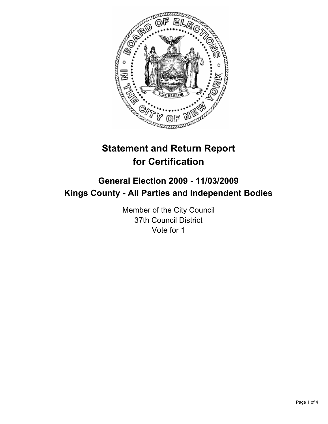

# **Statement and Return Report for Certification**

# **General Election 2009 - 11/03/2009 Kings County - All Parties and Independent Bodies**

Member of the City Council 37th Council District Vote for 1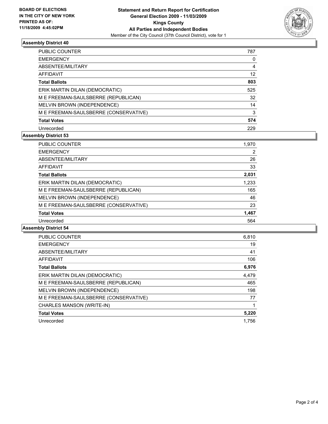

# **Assembly District 40**

| <b>PUBLIC COUNTER</b>                 | 787 |
|---------------------------------------|-----|
| <b>EMERGENCY</b>                      | 0   |
| ABSENTEE/MILITARY                     | 4   |
| <b>AFFIDAVIT</b>                      | 12  |
| <b>Total Ballots</b>                  | 803 |
| ERIK MARTIN DILAN (DEMOCRATIC)        | 525 |
| M E FREEMAN-SAULSBERRE (REPUBLICAN)   | 32  |
| MELVIN BROWN (INDEPENDENCE)           | 14  |
| M E FREEMAN-SAULSBERRE (CONSERVATIVE) | 3   |
| <b>Total Votes</b>                    | 574 |
| Unrecorded                            | 229 |

## **Assembly District 53**

| <b>PUBLIC COUNTER</b>                 | 1,970 |
|---------------------------------------|-------|
| <b>EMERGENCY</b>                      | 2     |
| ABSENTEE/MILITARY                     | 26    |
| AFFIDAVIT                             | 33    |
| <b>Total Ballots</b>                  | 2,031 |
| ERIK MARTIN DILAN (DEMOCRATIC)        | 1,233 |
| M E FREEMAN-SAULSBERRE (REPUBLICAN)   | 165   |
| MELVIN BROWN (INDEPENDENCE)           | 46    |
| M E FREEMAN-SAULSBERRE (CONSERVATIVE) | 23    |
| <b>Total Votes</b>                    | 1,467 |
| Unrecorded                            | 564   |

#### **Assembly District 54**

| <b>PUBLIC COUNTER</b>                 | 6,810 |
|---------------------------------------|-------|
| <b>EMERGENCY</b>                      | 19    |
| ABSENTEE/MILITARY                     | 41    |
| <b>AFFIDAVIT</b>                      | 106   |
| <b>Total Ballots</b>                  | 6,976 |
| ERIK MARTIN DILAN (DEMOCRATIC)        | 4,479 |
| M E FREEMAN-SAULSBERRE (REPUBLICAN)   | 465   |
| MELVIN BROWN (INDEPENDENCE)           | 198   |
| M E FREEMAN-SAULSBERRE (CONSERVATIVE) | 77    |
| CHARLES MANSON (WRITE-IN)             |       |
| <b>Total Votes</b>                    | 5,220 |
| Unrecorded                            | 1.756 |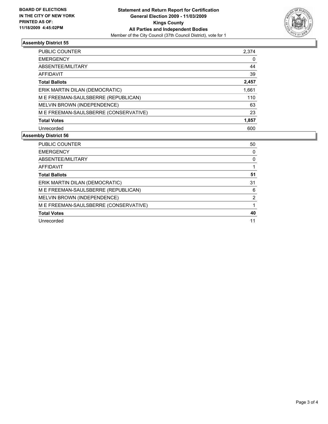

## **Assembly District 55**

| 2,374 |
|-------|
| 0     |
| 44    |
| 39    |
| 2,457 |
| 1,661 |
| 110   |
| 63    |
| 23    |
| 1,857 |
| 600   |
|       |

## **Assembly District 56**

| PUBLIC COUNTER                        | 50 |
|---------------------------------------|----|
| <b>EMERGENCY</b>                      | 0  |
| ABSENTEE/MILITARY                     | 0  |
| <b>AFFIDAVIT</b>                      |    |
| <b>Total Ballots</b>                  | 51 |
| ERIK MARTIN DILAN (DEMOCRATIC)        | 31 |
| M E FREEMAN-SAULSBERRE (REPUBLICAN)   | 6  |
| MELVIN BROWN (INDEPENDENCE)           | 2  |
| M E FREEMAN-SAULSBERRE (CONSERVATIVE) |    |
| <b>Total Votes</b>                    | 40 |
| Unrecorded                            | 11 |